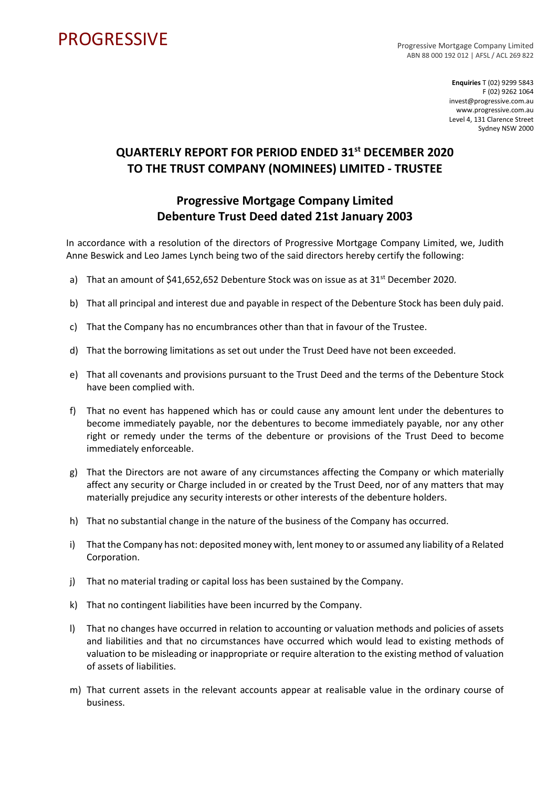## **PROGRESSIVE**

Progressive Mortgage Company Limited ABN 88 000 192 012 | AFSL / ACL 269 822

> **Enquiries** T (02) 9299 5843 F (02) 9262 1064 invest@progressive.com.au www.progressive.com.au Level 4, 131 Clarence Street Sydney NSW 2000

## **QUARTERLY REPORT FOR PERIOD ENDED 31st DECEMBER 2020 TO THE TRUST COMPANY (NOMINEES) LIMITED - TRUSTEE**

## **Progressive Mortgage Company Limited Debenture Trust Deed dated 21st January 2003**

In accordance with a resolution of the directors of Progressive Mortgage Company Limited, we, Judith Anne Beswick and Leo James Lynch being two of the said directors hereby certify the following:

- a) That an amount of  $$41,652,652$  Debenture Stock was on issue as at  $31^{st}$  December 2020.
- b) That all principal and interest due and payable in respect of the Debenture Stock has been duly paid.
- c) That the Company has no encumbrances other than that in favour of the Trustee.
- d) That the borrowing limitations as set out under the Trust Deed have not been exceeded.
- e) That all covenants and provisions pursuant to the Trust Deed and the terms of the Debenture Stock have been complied with.
- f) That no event has happened which has or could cause any amount lent under the debentures to become immediately payable, nor the debentures to become immediately payable, nor any other right or remedy under the terms of the debenture or provisions of the Trust Deed to become immediately enforceable.
- g) That the Directors are not aware of any circumstances affecting the Company or which materially affect any security or Charge included in or created by the Trust Deed, nor of any matters that may materially prejudice any security interests or other interests of the debenture holders.
- h) That no substantial change in the nature of the business of the Company has occurred.
- i) That the Company has not: deposited money with, lent money to or assumed any liability of a Related Corporation.
- j) That no material trading or capital loss has been sustained by the Company.
- k) That no contingent liabilities have been incurred by the Company.
- l) That no changes have occurred in relation to accounting or valuation methods and policies of assets and liabilities and that no circumstances have occurred which would lead to existing methods of valuation to be misleading or inappropriate or require alteration to the existing method of valuation of assets of liabilities.
- m) That current assets in the relevant accounts appear at realisable value in the ordinary course of business.